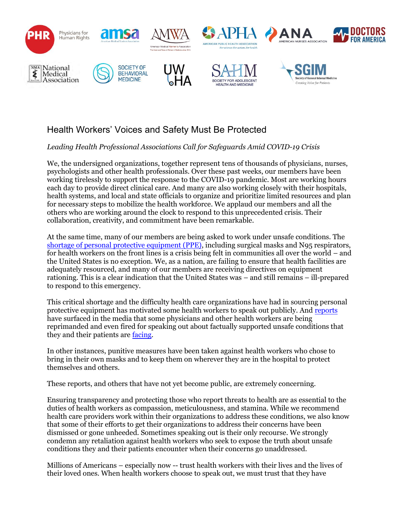

## Health Workers' Voices and Safety Must Be Protected

*Leading Health Professional Associations Call for Safeguards Amid COVID-19 Crisis* 

We, the undersigned organizations, together represent tens of thousands of physicians, nurses, psychologists and other health professionals. Over these past weeks, our members have been working tirelessly to support the response to the COVID-19 pandemic. Most are working hours each day to provide direct clinical care. And many are also working closely with their hospitals, health systems, and local and state officials to organize and prioritize limited resources and plan for necessary steps to mobilize the health workforce. We applaud our members and all the others who are working around the clock to respond to this unprecedented crisis. Their collaboration, creativity, and commitment have been remarkable.

At the same time, many of our members are being asked to work under unsafe conditions. The shortage of personal protective equipment (PPE), including surgical masks and N95 respirators, for health workers on the front lines is a crisis being felt in communities all over the world – and the United States is no exception. We, as a nation, are failing to ensure that health facilities are adequately resourced, and many of our members are receiving directives on equipment rationing. This is a clear indication that the United States was – and still remains – ill-prepared to respond to this emergency.

This critical shortage and the difficulty health care organizations have had in sourcing personal protective equipment has motivated some health workers to speak out publicly. And reports have surfaced in the media that some physicians and other health workers are being reprimanded and even fired for speaking out about factually supported unsafe conditions that they and their patients are facing.

In other instances, punitive measures have been taken against health workers who chose to bring in their own masks and to keep them on wherever they are in the hospital to protect themselves and others.

These reports, and others that have not yet become public, are extremely concerning.

Ensuring transparency and protecting those who report threats to health are as essential to the duties of health workers as compassion, meticulousness, and stamina. While we recommend health care providers work within their organizations to address these conditions, we also know that some of their efforts to get their organizations to address their concerns have been dismissed or gone unheeded. Sometimes speaking out is their only recourse. We strongly condemn any retaliation against health workers who seek to expose the truth about unsafe conditions they and their patients encounter when their concerns go unaddressed.

Millions of Americans – especially now -- trust health workers with their lives and the lives of their loved ones. When health workers choose to speak out, we must trust that they have